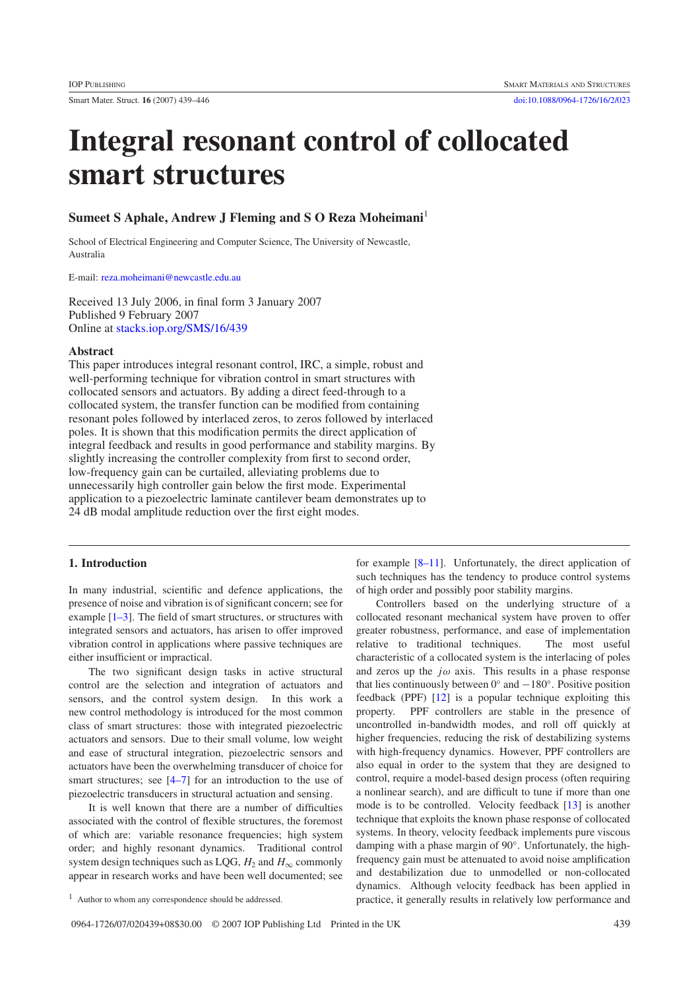# **Integral resonant control of collocated smart structures**

# **Sumeet S Aphale, Andrew J Fleming and S O Reza Moheimani**<sup>1</sup>

School of Electrical Engineering and Computer Science, The University of Newcastle, Australia

E-mail: [reza.moheimani@newcastle.edu.au](mailto:reza.moheimani@newcastle.edu.au)

Received 13 July 2006, in final form 3 January 2007 Published 9 February 2007 Online at [stacks.iop.org/SMS/16/439](http://stacks.iop.org/SMS/16/439)

### **Abstract**

This paper introduces integral resonant control, IRC, a simple, robust and well-performing technique for vibration control in smart structures with collocated sensors and actuators. By adding a direct feed-through to a collocated system, the transfer function can be modified from containing resonant poles followed by interlaced zeros, to zeros followed by interlaced poles. It is shown that this modification permits the direct application of integral feedback and results in good performance and stability margins. By slightly increasing the controller complexity from first to second order, low-frequency gain can be curtailed, alleviating problems due to unnecessarily high controller gain below the first mode. Experimental application to a piezoelectric laminate cantilever beam demonstrates up to 24 dB modal amplitude reduction over the first eight modes.

# **1. Introduction**

In many industrial, scientific and defence applications, the presence of noise and vibration is of significant concern; see for example [\[1–3\]](#page-6-0). The field of smart structures, or structures with integrated sensors and actuators, has arisen to offer improved vibration control in applications where passive techniques are either insufficient or impractical.

The two significant design tasks in active structural control are the selection and integration of actuators and sensors, and the control system design. In this work a new control methodology is introduced for the most common class of smart structures: those with integrated piezoelectric actuators and sensors. Due to their small volume, low weight and ease of structural integration, piezoelectric sensors and actuators have been the overwhelming transducer of choice for smart structures; see  $[4-7]$  for an introduction to the use of piezoelectric transducers in structural actuation and sensing.

It is well known that there are a number of difficulties associated with the control of flexible structures, the foremost of which are: variable resonance frequencies; high system order; and highly resonant dynamics. Traditional control system design techniques such as LQG,  $H_2$  and  $H_{\infty}$  commonly appear in research works and have been well documented; see

<sup>1</sup> Author to whom any correspondence should be addressed.

for example [\[8–11\]](#page-6-2). Unfortunately, the direct application of such techniques has the tendency to produce control systems of high order and possibly poor stability margins.

Controllers based on the underlying structure of a collocated resonant mechanical system have proven to offer greater robustness, performance, and ease of implementation relative to traditional techniques. The most useful characteristic of a collocated system is the interlacing of poles and zeros up the  $j\omega$  axis. This results in a phase response that lies continuously between  $0°$  and  $-180°$ . Positive position feedback (PPF) [\[12\]](#page-7-0) is a popular technique exploiting this property. PPF controllers are stable in the presence of uncontrolled in-bandwidth modes, and roll off quickly at higher frequencies, reducing the risk of destabilizing systems with high-frequency dynamics. However, PPF controllers are also equal in order to the system that they are designed to control, require a model-based design process (often requiring a nonlinear search), and are difficult to tune if more than one mode is to be controlled. Velocity feedback [\[13\]](#page-7-1) is another technique that exploits the known phase response of collocated systems. In theory, velocity feedback implements pure viscous damping with a phase margin of 90◦. Unfortunately, the highfrequency gain must be attenuated to avoid noise amplification and destabilization due to unmodelled or non-collocated dynamics. Although velocity feedback has been applied in practice, it generally results in relatively low performance and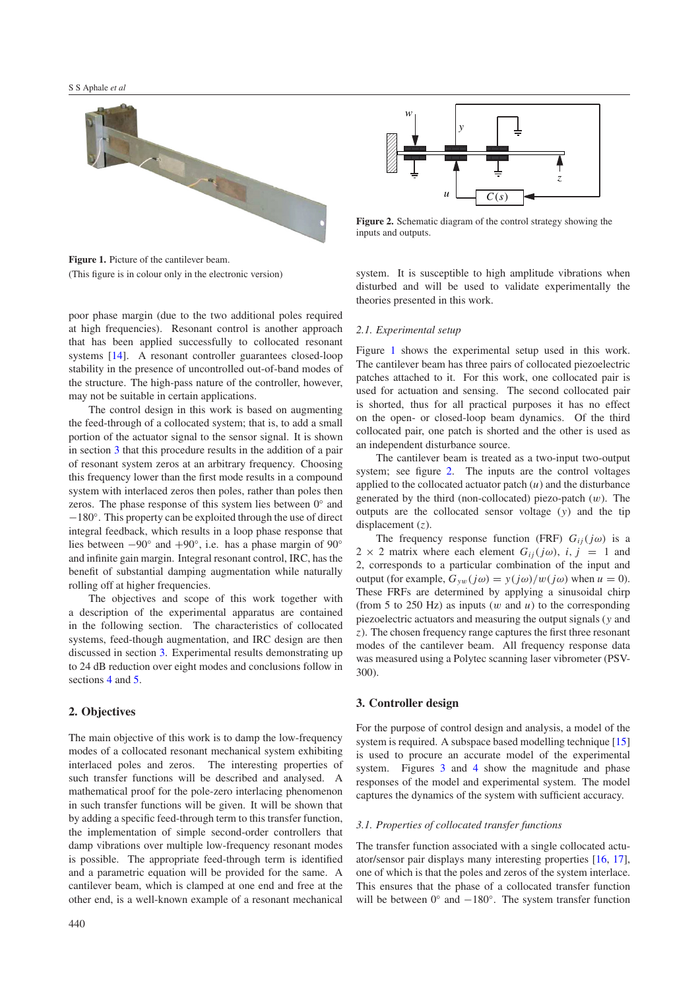<span id="page-1-1"></span>

**Figure 1.** Picture of the cantilever beam. (This figure is in colour only in the electronic version)

poor phase margin (due to the two additional poles required at high frequencies). Resonant control is another approach that has been applied successfully to collocated resonant systems [\[14\]](#page-7-2). A resonant controller guarantees closed-loop stability in the presence of uncontrolled out-of-band modes of the structure. The high-pass nature of the controller, however, may not be suitable in certain applications.

The control design in this work is based on augmenting the feed-through of a collocated system; that is, to add a small portion of the actuator signal to the sensor signal. It is shown in section [3](#page-1-0) that this procedure results in the addition of a pair of resonant system zeros at an arbitrary frequency. Choosing this frequency lower than the first mode results in a compound system with interlaced zeros then poles, rather than poles then zeros. The phase response of this system lies between 0◦ and −180◦. This property can be exploited through the use of direct integral feedback, which results in a loop phase response that lies between −90◦ and +90◦, i.e. has a phase margin of 90◦ and infinite gain margin. Integral resonant control, IRC, has the benefit of substantial damping augmentation while naturally rolling off at higher frequencies.

The objectives and scope of this work together with a description of the experimental apparatus are contained in the following section. The characteristics of collocated systems, feed-though augmentation, and IRC design are then discussed in section [3.](#page-1-0) Experimental results demonstrating up to 24 dB reduction over eight modes and conclusions follow in sections [4](#page-4-0) and [5.](#page-5-0)

## **2. Objectives**

The main objective of this work is to damp the low-frequency modes of a collocated resonant mechanical system exhibiting interlaced poles and zeros. The interesting properties of such transfer functions will be described and analysed. A mathematical proof for the pole-zero interlacing phenomenon in such transfer functions will be given. It will be shown that by adding a specific feed-through term to this transfer function, the implementation of simple second-order controllers that damp vibrations over multiple low-frequency resonant modes is possible. The appropriate feed-through term is identified and a parametric equation will be provided for the same. A cantilever beam, which is clamped at one end and free at the other end, is a well-known example of a resonant mechanical

<span id="page-1-2"></span>

**Figure 2.** Schematic diagram of the control strategy showing the inputs and outputs.

system. It is susceptible to high amplitude vibrations when disturbed and will be used to validate experimentally the theories presented in this work.

#### *2.1. Experimental setup*

Figure [1](#page-1-1) shows the experimental setup used in this work. The cantilever beam has three pairs of collocated piezoelectric patches attached to it. For this work, one collocated pair is used for actuation and sensing. The second collocated pair is shorted, thus for all practical purposes it has no effect on the open- or closed-loop beam dynamics. Of the third collocated pair, one patch is shorted and the other is used as an independent disturbance source.

The cantilever beam is treated as a two-input two-output system; see figure [2.](#page-1-2) The inputs are the control voltages applied to the collocated actuator patch (*u*) and the disturbance generated by the third (non-collocated) piezo-patch  $(w)$ . The outputs are the collocated sensor voltage (*y*) and the tip displacement (*z*).

The frequency response function (FRF)  $G_{ii}(j\omega)$  is a  $2 \times 2$  matrix where each element  $G_{ij}(j\omega)$ ,  $i, j = 1$  and 2, corresponds to a particular combination of the input and output (for example,  $G_{vw}(j\omega) = y(j\omega)/w(j\omega)$  when  $u = 0$ ). These FRFs are determined by applying a sinusoidal chirp (from 5 to 250 Hz) as inputs  $(w \text{ and } u)$  to the corresponding piezoelectric actuators and measuring the output signals (*y* and *z*). The chosen frequency range captures the first three resonant modes of the cantilever beam. All frequency response data was measured using a Polytec scanning laser vibrometer (PSV-300).

# <span id="page-1-0"></span>**3. Controller design**

<span id="page-1-3"></span>For the purpose of control design and analysis, a model of the system is required. A subspace based modelling technique [\[15\]](#page-7-3) is used to procure an accurate model of the experimental system. Figures [3](#page-2-0) and [4](#page-2-1) show the magnitude and phase responses of the model and experimental system. The model captures the dynamics of the system with sufficient accuracy.

#### *3.1. Properties of collocated transfer functions*

The transfer function associated with a single collocated actuator/sensor pair displays many interesting properties [\[16,](#page-7-4) [17\]](#page-7-5), one of which is that the poles and zeros of the system interlace. This ensures that the phase of a collocated transfer function will be between  $0°$  and  $-180°$ . The system transfer function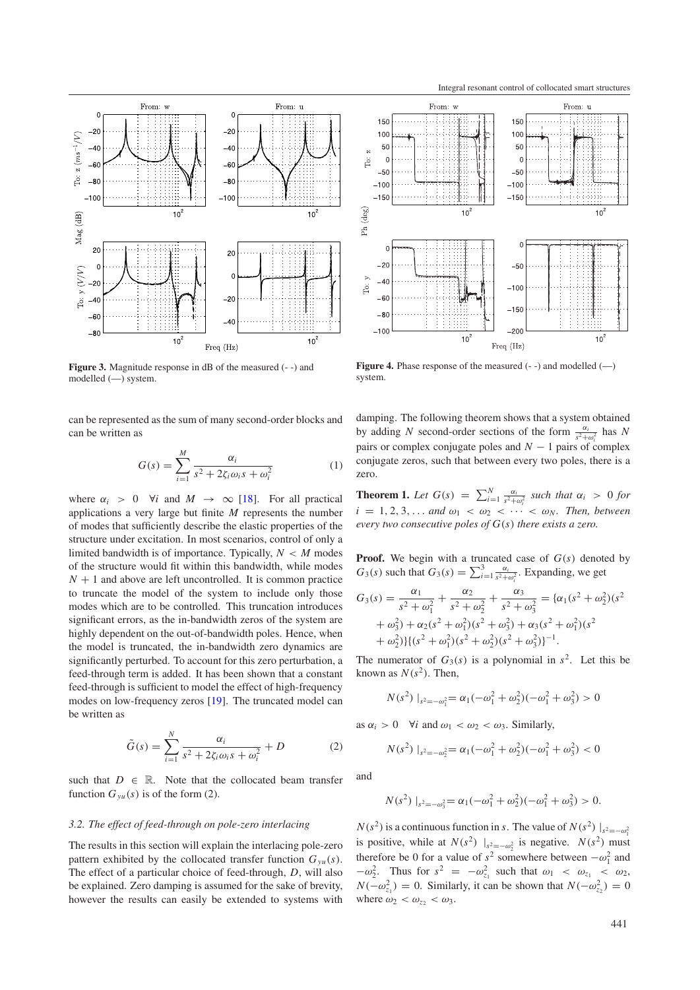<span id="page-2-0"></span>

**Figure 3.** Magnitude response in dB of the measured  $(-)$  and modelled (—) system.

can be represented as the sum of many second-order blocks and can be written as

$$
G(s) = \sum_{i=1}^{M} \frac{\alpha_i}{s^2 + 2\zeta_i \omega_i s + \omega_i^2}
$$
 (1)

where  $\alpha_i > 0$   $\forall i$  and  $M \rightarrow \infty$  [\[18\]](#page-7-6). For all practical applications a very large but finite *M* represents the number of modes that sufficiently describe the elastic properties of the structure under excitation. In most scenarios, control of only a limited bandwidth is of importance. Typically,  $N < M$  modes of the structure would fit within this bandwidth, while modes  $N + 1$  and above are left uncontrolled. It is common practice to truncate the model of the system to include only those modes which are to be controlled. This truncation introduces significant errors, as the in-bandwidth zeros of the system are highly dependent on the out-of-bandwidth poles. Hence, when the model is truncated, the in-bandwidth zero dynamics are significantly perturbed. To account for this zero perturbation, a feed-through term is added. It has been shown that a constant feed-through is sufficient to model the effect of high-frequency modes on low-frequency zeros [\[19\]](#page-7-7). The truncated model can be written as

$$
\tilde{G}(s) = \sum_{i=1}^{N} \frac{\alpha_i}{s^2 + 2\zeta_i \omega_i s + \omega_i^2} + D
$$
 (2)

<span id="page-2-2"></span>such that  $D \in \mathbb{R}$ . Note that the collocated beam transfer function  $G_{vu}(s)$  is of the form (2).

#### *3.2. The effect of feed-through on pole-zero interlacing*

The results in this section will explain the interlacing pole-zero pattern exhibited by the collocated transfer function  $G_{vu}(s)$ . The effect of a particular choice of feed-through, *D*, will also be explained. Zero damping is assumed for the sake of brevity, however the results can easily be extended to systems with

<span id="page-2-1"></span>

**Figure 4.** Phase response of the measured  $(-)$  and modelled  $(-)$ system.

damping. The following theorem shows that a system obtained by adding *N* second-order sections of the form  $\frac{\alpha_i}{s^2 + \omega_i^2}$  has *N* pairs or complex conjugate poles and *N* − 1 pairs of complex conjugate zeros, such that between every two poles, there is a zero.

**Theorem 1.** *Let*  $G(s) = \sum_{i=1}^{N} \frac{\alpha_i}{s^2 + \omega_i^2}$  *such that*  $\alpha_i > 0$  *for*  $i = 1, 2, 3, \ldots$  *and*  $\omega_1 < \omega_2 < \cdots < \omega_N$ *. Then, between every two consecutive poles of G*(*s*) *there exists a zero.*

**Proof.** We begin with a truncated case of *G*(*s*) denoted by  $G_3(s)$  such that  $G_3(s) = \sum_{i=1}^3 \frac{\alpha_i}{s^2 + \omega_i^2}$ . Expanding, we get

$$
G_3(s) = \frac{\alpha_1}{s^2 + \omega_1^2} + \frac{\alpha_2}{s^2 + \omega_2^2} + \frac{\alpha_3}{s^2 + \omega_3^2} = {\alpha_1(s^2 + \omega_2^2)(s^2 + \omega_3^2) + \alpha_2(s^2 + \omega_1^2)(s^2 + \omega_2^2) + \alpha_3(s^2 + \omega_1^2)(s^2 + \omega_2^2) + \alpha_2(s^2 + \omega_2^2)(s^2 + \omega_3^2)^{-1}.
$$

The numerator of  $G_3(s)$  is a polynomial in  $s^2$ . Let this be known as  $N(s^2)$ . Then,

$$
N(s^2) |_{s^2 = -\omega_1^2} = \alpha_1(-\omega_1^2 + \omega_2^2)(-\omega_1^2 + \omega_3^2) > 0
$$

as  $\alpha_i > 0$   $\forall i$  and  $\omega_1 < \omega_2 < \omega_3$ . Similarly,

$$
N(s^2) |_{s^2=-\omega_2^2} = \alpha_1(-\omega_1^2 + \omega_2^2)(-\omega_1^2 + \omega_3^2) < 0
$$

and

$$
N(s^2) |_{s^2=-\omega_3^2} = \alpha_1(-\omega_1^2 + \omega_2^2)(-\omega_1^2 + \omega_3^2) > 0.
$$

 $N(s^2)$  is a continuous function in *s*. The value of  $N(s^2)$   $|_{s^2=-\omega_1^2}$ is positive, while at  $N(s^2)$   $|_{s^2=-\omega_2^2}$  is negative.  $N(s^2)$  must therefore be 0 for a value of  $s^2$  somewhere between  $-\omega_1^2$  and  $-\omega_2^2$ . Thus for  $s^2 = -\omega_{z_1}^2$  such that  $\omega_1 < \omega_{z_1} < \omega_2$ ,  $N(-\omega_{z_1}^2) = 0$ . Similarly, it can be shown that  $N(-\omega_{z_2}^2) = 0$ where  $\omega_2 < \omega_{z_2} < \omega_3$ .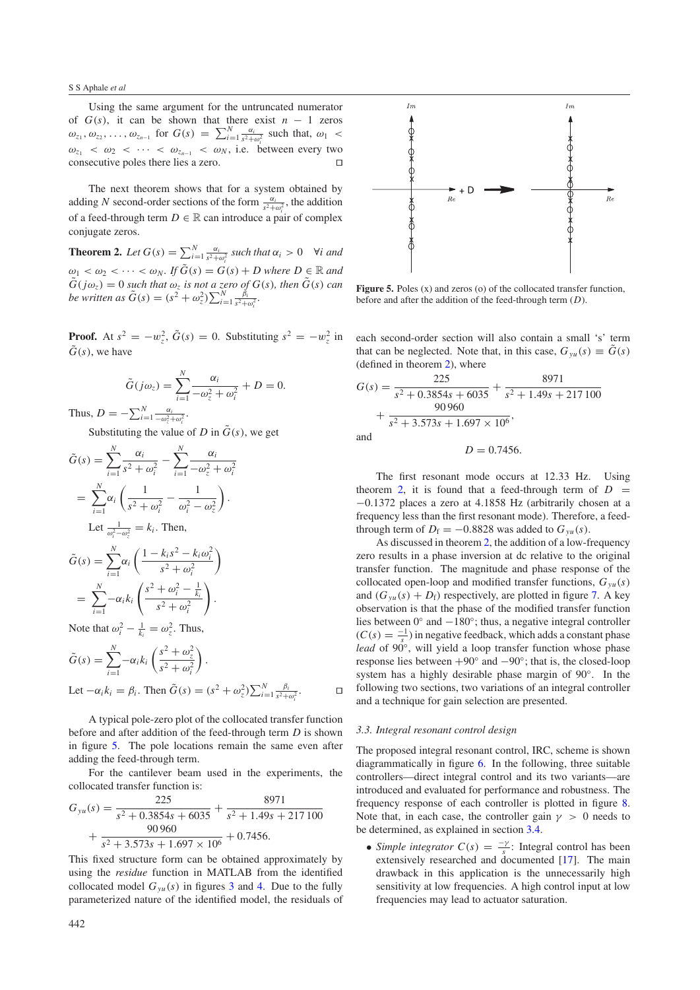Using the same argument for the untruncated numerator of  $G(s)$ , it can be shown that there exist  $n - 1$  zeros  $\omega_{z_1}, \omega_{z_2}, \ldots, \omega_{z_{n-1}}$  for  $G(s) = \sum_{i=1}^N \frac{\alpha_i}{s^2 + \omega_i^2}$  such that,  $\omega_1$  <  $\omega_{z_1}$  <  $\omega_2$  < ··· <  $\omega_{z_{n-1}}$  <  $\omega_N$ , i.e. between every two consecutive poles there lies a zero.

<span id="page-3-1"></span>The next theorem shows that for a system obtained by adding *N* second-order sections of the form  $\frac{\alpha_i}{s^2 + \omega_i^2}$ , the addition of a feed-through term  $D \in \mathbb{R}$  can introduce a pair of complex conjugate zeros.

**Theorem 2.** Let  $G(s) = \sum_{i=1}^{N} \frac{\alpha_i}{s^2 + \omega_i^2}$  such that  $\alpha_i > 0$   $\forall i$  and  $\omega_1 < \omega_2 < \cdots < \omega_N$ . If  $\tilde{G}(s) = G(s) + D$  where  $D \in \mathbb{R}$  and  $\tilde{G}(j\omega_z) = 0$  *such that*  $\omega_z$  *is not a zero of*  $G(s)$ *, then*  $\tilde{G}(s)$  *can be written as*  $\tilde{G}(s) = (s^2 + \omega_z^2) \sum_{i=1}^{N} \frac{\tilde{\beta}_i}{s^2 + \omega_i^2}$ .

**Proof.** At  $s^2 = -w_z^2$ ,  $\tilde{G}(s) = 0$ . Substituting  $s^2 = -w_z^2$  in  $\tilde{G}(s)$ , we have

$$
\tilde{G}(j\omega_z) = \sum_{i=1}^N \frac{\alpha_i}{-\omega_z^2 + \omega_i^2} + D = 0.
$$

Thus,  $D = -\sum_{i=1}^{N} \frac{\alpha_i}{-\omega_z^2 + \omega_i^2}$ .

Substituting the value of *D* in  $\tilde{G}(s)$ , we get

$$
\tilde{G}(s) = \sum_{i=1}^{N} \frac{\alpha_{i}}{s^{2} + \omega_{i}^{2}} - \sum_{i=1}^{N} \frac{\alpha_{i}}{-\omega_{z}^{2} + \omega_{i}^{2}}
$$
\n
$$
= \sum_{i=1}^{N} \alpha_{i} \left( \frac{1}{s^{2} + \omega_{i}^{2}} - \frac{1}{\omega_{i}^{2} - \omega_{z}^{2}} \right).
$$
\nLet  $\frac{1}{\omega_{i}^{2} - \omega_{z}^{2}} = k_{i}$ . Then,  
\n
$$
\tilde{G}(s) = \sum_{i=1}^{N} \alpha_{i} \left( \frac{1 - k_{i}s^{2} - k_{i}\omega_{i}^{2}}{s^{2} + \omega_{i}^{2}} \right)
$$
\n
$$
= \sum_{i=1}^{N} -\alpha_{i}k_{i} \left( \frac{s^{2} + \omega_{i}^{2} - \frac{1}{k_{i}}}{s^{2} + \omega_{i}^{2}} \right).
$$
\nNote that  $\omega_{i}^{2} - \frac{1}{k_{i}} = \omega_{z}^{2}$ . Thus,  
\n
$$
\tilde{G}(s) = \sum_{i=1}^{N} -\alpha_{i}k_{i} \left( \frac{s^{2} + \omega_{z}^{2}}{s^{2} + \omega_{z}^{2}} \right).
$$

$$
\tilde{G}(s) = \sum_{i=1}^{\infty} -\alpha_i k_i \left( \frac{s + \omega_z}{s^2 + \omega_i^2} \right).
$$
  
Let  $-\alpha_i k_i = \beta_i$ . Then  $\tilde{G}(s) = (s^2 + \omega_z^2) \sum_{i=1}^N \frac{\beta_i}{s^2 + \omega_i^2}.$ 

A typical pole-zero plot of the collocated transfer function before and after addition of the feed-through term *D* is shown in figure [5.](#page-3-0) The pole locations remain the same even after adding the feed-through term.

For the cantilever beam used in the experiments, the collocated transfer function is:

$$
G_{yu}(s) = \frac{225}{s^2 + 0.3854s + 6035} + \frac{8971}{s^2 + 1.49s + 217100} + \frac{90960}{s^2 + 3.573s + 1.697 \times 10^6} + 0.7456.
$$

This fixed structure form can be obtained approximately by using the *residue* function in MATLAB from the identified collocated model  $G_{yu}(s)$  in figures [3](#page-2-0) and [4.](#page-2-1) Due to the fully parameterized nature of the identified model, the residuals of

<span id="page-3-0"></span>

Figure 5. Poles (x) and zeros (o) of the collocated transfer function, before and after the addition of the feed-through term (*D*).

each second-order section will also contain a small 's' term that can be neglected. Note that, in this case,  $G_{vu}(s) \equiv \tilde{G}(s)$ (defined in theorem [2\)](#page-3-1), where

$$
G(s) = \frac{225}{s^2 + 0.3854s + 6035} + \frac{8971}{s^2 + 1.49s + 217100} + \frac{90960}{s^2 + 3.573s + 1.697 \times 10^6},
$$
  
and

<span id="page-3-2"></span>.

 $D = 0.7456$ .

The first resonant mode occurs at 12.33 Hz. Using theorem [2,](#page-3-1) it is found that a feed-through term of  $D =$ −0.1372 places a zero at 4.1858 Hz (arbitrarily chosen at a frequency less than the first resonant mode). Therefore, a feedthrough term of  $D_f = -0.8828$  was added to  $G_{vu}(s)$ .

As discussed in theorem [2,](#page-3-1) the addition of a low-frequency zero results in a phase inversion at dc relative to the original transfer function. The magnitude and phase response of the collocated open-loop and modified transfer functions,  $G_{yu}(s)$ and  $(G_{\nu u}(s) + D_f)$  respectively, are plotted in figure [7.](#page-4-1) A key observation is that the phase of the modified transfer function lies between 0◦ and −180◦; thus, a negative integral controller  $(C(s) = \frac{-1}{s})$  in negative feedback, which adds a constant phase *lead* of 90<sup>°</sup>, will yield a loop transfer function whose phase response lies between  $+90°$  and  $-90°$ ; that is, the closed-loop system has a highly desirable phase margin of 90◦. In the following two sections, two variations of an integral controller and a technique for gain selection are presented.

## *3.3. Integral resonant control design*

The proposed integral resonant control, IRC, scheme is shown diagrammatically in figure [6.](#page-4-2) In the following, three suitable controllers—direct integral control and its two variants—are introduced and evaluated for performance and robustness. The frequency response of each controller is plotted in figure [8.](#page-5-1) Note that, in each case, the controller gain  $\gamma > 0$  needs to be determined, as explained in section [3.4.](#page-4-3)

• *Simple integrator*  $C(s) = \frac{-\gamma}{s}$ : Integral control has been extensively researched and documented [\[17\]](#page-7-5). The main drawback in this application is the unnecessarily high sensitivity at low frequencies. A high control input at low frequencies may lead to actuator saturation.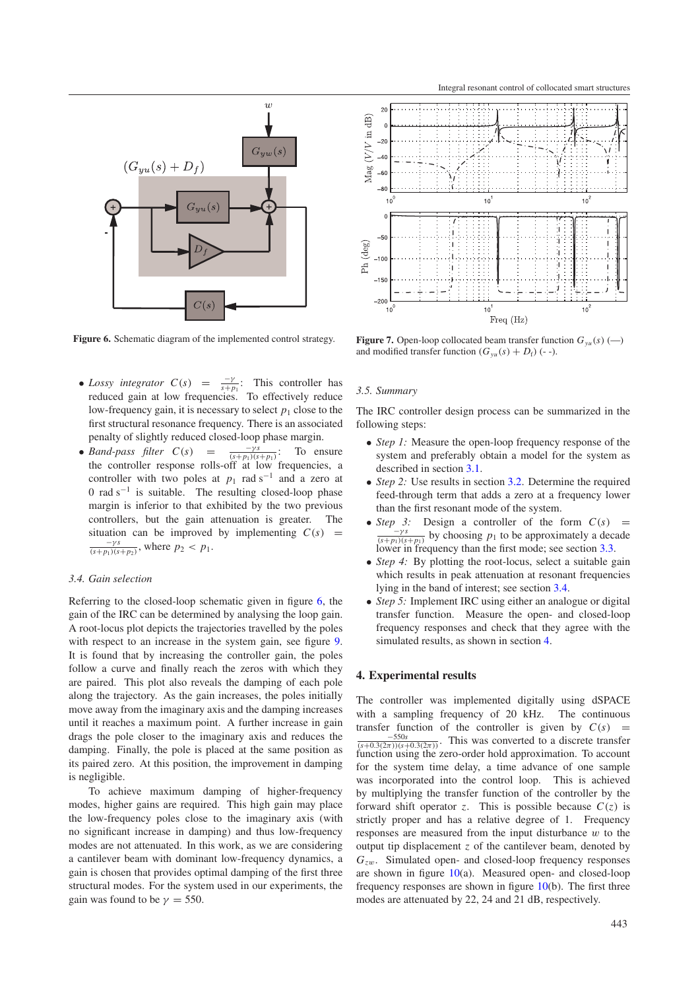<span id="page-4-2"></span>

**Figure 6.** Schematic diagram of the implemented control strategy.

- *Lossy integrator*  $C(s) = \frac{-\gamma}{s+p_1}$ : This controller has reduced gain at low frequencies. To effectively reduce low-frequency gain, it is necessary to select  $p_1$  close to the first structural resonance frequency. There is an associated penalty of slightly reduced closed-loop phase margin.
- *Band-pass filter*  $C(s) = \frac{-\gamma s}{(s+p_1)(s+p_1)}$ : To ensure the controller response rolls-off at low frequencies, a controller with two poles at  $p_1$  rad s<sup>−1</sup> and a zero at 0 rad  $s^{-1}$  is suitable. The resulting closed-loop phase margin is inferior to that exhibited by the two previous controllers, but the gain attenuation is greater. The situation can be improved by implementing  $C(s)$  =  $\frac{-\gamma s}{(s+p_1)(s+p_2)}$ , where  $p_2 < p_1$ .

## <span id="page-4-3"></span>*3.4. Gain selection*

Referring to the closed-loop schematic given in figure [6,](#page-4-2) the gain of the IRC can be determined by analysing the loop gain. A root-locus plot depicts the trajectories travelled by the poles with respect to an increase in the system gain, see figure [9.](#page-5-2) It is found that by increasing the controller gain, the poles follow a curve and finally reach the zeros with which they are paired. This plot also reveals the damping of each pole along the trajectory. As the gain increases, the poles initially move away from the imaginary axis and the damping increases until it reaches a maximum point. A further increase in gain drags the pole closer to the imaginary axis and reduces the damping. Finally, the pole is placed at the same position as its paired zero. At this position, the improvement in damping is negligible.

To achieve maximum damping of higher-frequency modes, higher gains are required. This high gain may place the low-frequency poles close to the imaginary axis (with no significant increase in damping) and thus low-frequency modes are not attenuated. In this work, as we are considering a cantilever beam with dominant low-frequency dynamics, a gain is chosen that provides optimal damping of the first three structural modes. For the system used in our experiments, the gain was found to be  $\gamma = 550$ .

<span id="page-4-1"></span>

**Figure 7.** Open-loop collocated beam transfer function  $G_{yu}(s)$  (--) and modified transfer function  $(G_{yu}(s) + D_f)$  (--).

## *3.5. Summary*

The IRC controller design process can be summarized in the following steps:

- *Step 1:* Measure the open-loop frequency response of the system and preferably obtain a model for the system as described in section [3.1.](#page-1-3)
- *Step 2:* Use results in section [3.2.](#page-2-2) Determine the required feed-through term that adds a zero at a frequency lower than the first resonant mode of the system.
- *Step 3:* Design a controller of the form  $C(s)$  =  $\frac{-\gamma s}{(s+p_1)(s+p_1)}$  by choosing  $p_1$  to be approximately a decade lower in frequency than the first mode; see section [3.3.](#page-3-2)
- *Step 4*: By plotting the root-locus, select a suitable gain which results in peak attenuation at resonant frequencies lying in the band of interest; see section [3.4.](#page-4-3)
- <span id="page-4-0"></span>• *Step 5:* Implement IRC using either an analogue or digital transfer function. Measure the open- and closed-loop frequency responses and check that they agree with the simulated results, as shown in section [4.](#page-4-0)

#### **4. Experimental results**

The controller was implemented digitally using dSPACE with a sampling frequency of 20 kHz. The continuous with a sampling frequency of 20 kHz. transfer function of the controller is given by  $C(s)$  =  $\frac{-550s}{(s+0.3(2\pi))(s+0.3(2\pi))}$ . This was converted to a discrete transfer function using the zero-order hold approximation. To account for the system time delay, a time advance of one sample was incorporated into the control loop. This is achieved by multiplying the transfer function of the controller by the forward shift operator *z*. This is possible because  $C(z)$  is strictly proper and has a relative degree of 1. Frequency responses are measured from the input disturbance  $w$  to the output tip displacement *z* of the cantilever beam, denoted by *Gz*w. Simulated open- and closed-loop frequency responses are shown in figure  $10(a)$  $10(a)$ . Measured open- and closed-loop frequency responses are shown in figure [10\(](#page-6-3)b). The first three modes are attenuated by 22, 24 and 21 dB, respectively.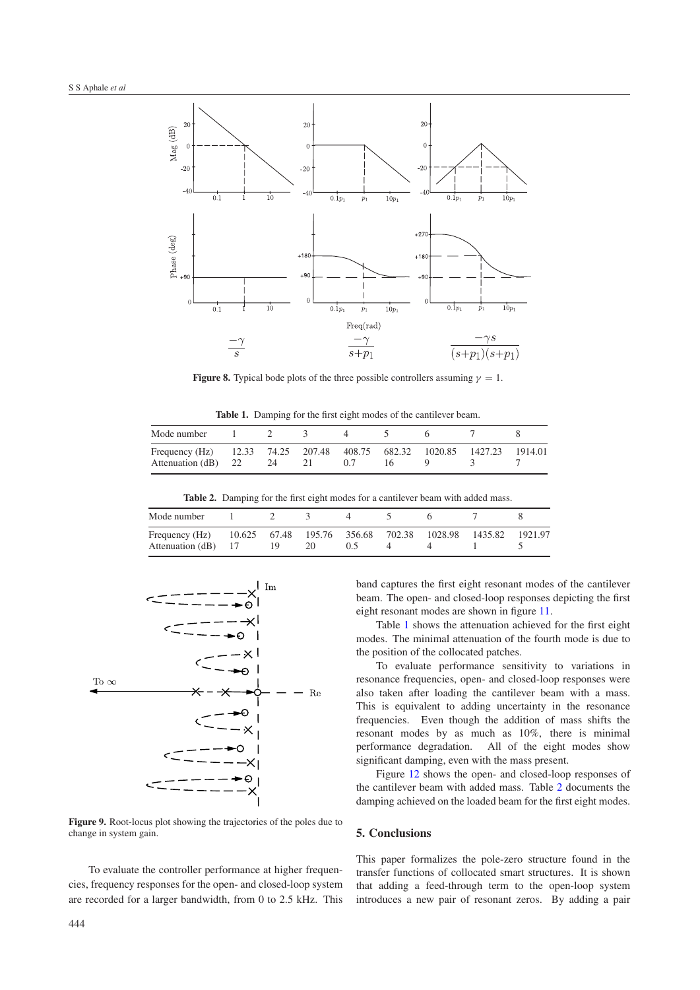<span id="page-5-1"></span>

**Figure 8.** Typical bode plots of the three possible controllers assuming  $\gamma = 1$ .

**Table 1.** Damping for the first eight modes of the cantilever beam.

<span id="page-5-4"></span><span id="page-5-3"></span>

| Mode number                           |    |                          |     |                               |         |
|---------------------------------------|----|--------------------------|-----|-------------------------------|---------|
| Frequency (Hz)<br>Attenuation (dB) 22 | 24 | 12.33 74.25 207.48<br>21 | 0.7 | 408.75 682.32 1020.85 1427.23 | 1914.01 |

**Table 2.** Damping for the first eight modes for a cantilever beam with added mass.

| Mode number                           |    |    |  |                                           |         |         |
|---------------------------------------|----|----|--|-------------------------------------------|---------|---------|
| Frequency (Hz)<br>Attenuation (dB) 17 | 19 | 20 |  | 10.625 67.48 195.76 356.68 702.38 1028.98 | 1435.82 | 1921.97 |

<span id="page-5-2"></span>

**Figure 9.** Root-locus plot showing the trajectories of the poles due to change in system gain.

To evaluate the controller performance at higher frequencies, frequency responses for the open- and closed-loop system are recorded for a larger bandwidth, from 0 to 2.5 kHz. This band captures the first eight resonant modes of the cantilever beam. The open- and closed-loop responses depicting the first eight resonant modes are shown in figure [11.](#page-6-4)

Table [1](#page-5-3) shows the attenuation achieved for the first eight modes. The minimal attenuation of the fourth mode is due to the position of the collocated patches.

To evaluate performance sensitivity to variations in resonance frequencies, open- and closed-loop responses were also taken after loading the cantilever beam with a mass. This is equivalent to adding uncertainty in the resonance frequencies. Even though the addition of mass shifts the resonant modes by as much as 10%, there is minimal performance degradation. All of the eight modes show significant damping, even with the mass present.

<span id="page-5-0"></span>Figure [12](#page-6-5) shows the open- and closed-loop responses of the cantilever beam with added mass. Table [2](#page-5-4) documents the damping achieved on the loaded beam for the first eight modes.

# **5. Conclusions**

This paper formalizes the pole-zero structure found in the transfer functions of collocated smart structures. It is shown that adding a feed-through term to the open-loop system introduces a new pair of resonant zeros. By adding a pair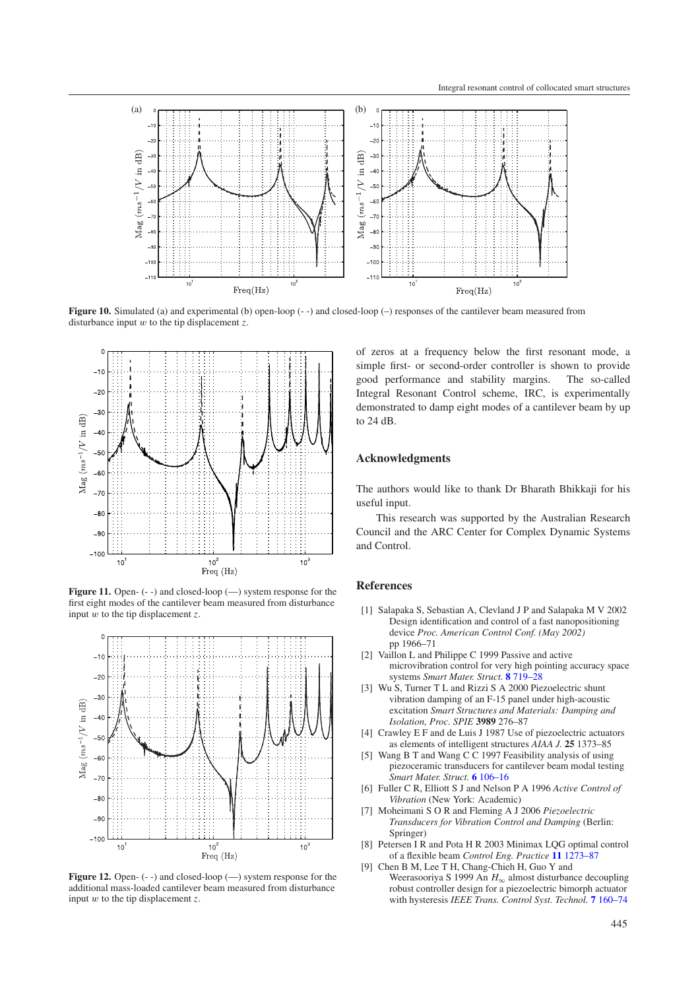<span id="page-6-3"></span>

<span id="page-6-4"></span>**Figure 10.** Simulated (a) and experimental (b) open-loop (- -) and closed-loop (-) responses of the cantilever beam measured from disturbance input w to the tip displacement *z*.



<span id="page-6-5"></span>**Figure 11.** Open- (--) and closed-loop (-) system response for the first eight modes of the cantilever beam measured from disturbance input  $\tilde{w}$  to the tip displacement  $\zeta$ .



Figure 12. Open- (--) and closed-loop (--) system response for the additional mass-loaded cantilever beam measured from disturbance input w to the tip displacement *z*.

of zeros at a frequency below the first resonant mode, a simple first- or second-order controller is shown to provide good performance and stability margins. The so-called Integral Resonant Control scheme, IRC, is experimentally demonstrated to damp eight modes of a cantilever beam by up to 24 dB.

# **Acknowledgments**

The authors would like to thank Dr Bharath Bhikkaji for his useful input.

<span id="page-6-0"></span>This research was supported by the Australian Research Council and the ARC Center for Complex Dynamic Systems and Control.

## **References**

- [1] Salapaka S, Sebastian A, Clevland J P and Salapaka M V 2002 Design identification and control of a fast nanopositioning device *Proc. American Control Conf. (May 2002)* pp 1966–71
- <span id="page-6-1"></span>[2] Vaillon L and Philippe C 1999 Passive and active microvibration control for very high pointing accuracy space systems *Smart Mater. Struct.* **8** [719–28](http://dx.doi.org/10.1088/0964-1726/8/6/302)
- [3] Wu S, Turner T L and Rizzi S A 2000 Piezoelectric shunt vibration damping of an F-15 panel under high-acoustic excitation *Smart Structures and Materials: Damping and Isolation, Proc. SPIE* **3989** 276–87
- [4] Crawley E F and de Luis J 1987 Use of piezoelectric actuators as elements of intelligent structures *AIAA J.* **25** 1373–85
- <span id="page-6-2"></span>[5] Wang B T and Wang C C 1997 Feasibility analysis of using piezoceramic transducers for cantilever beam modal testing *Smart Mater. Struct.* **6** [106–16](http://dx.doi.org/10.1088/0964-1726/6/1/013)
- [6] Fuller C R, Elliott S J and Nelson P A 1996 *Active Control of Vibration* (New York: Academic)
- [7] Moheimani S O R and Fleming A J 2006 *Piezoelectric Transducers for Vibration Control and Damping* (Berlin: Springer)
- [8] Petersen I R and Pota H R 2003 Minimax LQG optimal control of a flexible beam *Control Eng. Practice* **11** [1273–87](http://dx.doi.org/10.1016/S0967-0661(02)00240-X)
- [9] Chen B M, Lee T H, Chang-Chieh H, Guo Y and Weerasooriya S 1999 An *H*<sup>∞</sup> almost disturbance decoupling robust controller design for a piezoelectric bimorph actuator with hysteresis *IEEE Trans. Control Syst. Technol.* **7** [160–74](http://dx.doi.org/10.1109/87.748143)